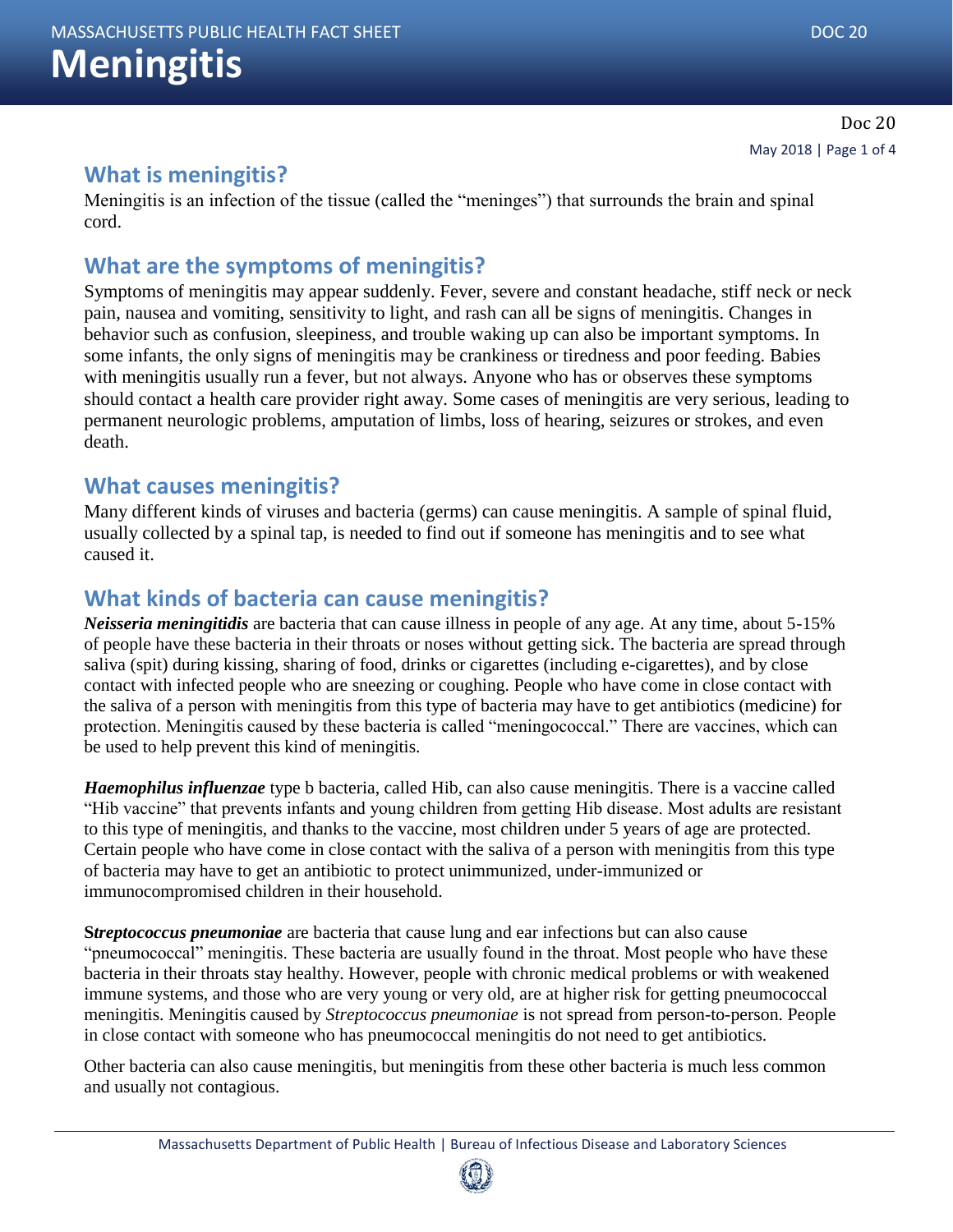# **Meningitis**

#### **What is meningitis?**

Meningitis is an infection of the tissue (called the "meninges") that surrounds the brain and spinal cord.

#### **What are the symptoms of meningitis?**

Symptoms of meningitis may appear suddenly. Fever, severe and constant headache, stiff neck or neck pain, nausea and vomiting, sensitivity to light, and rash can all be signs of meningitis. Changes in behavior such as confusion, sleepiness, and trouble waking up can also be important symptoms. In some infants, the only signs of meningitis may be crankiness or tiredness and poor feeding. Babies with meningitis usually run a fever, but not always. Anyone who has or observes these symptoms should contact a health care provider right away. Some cases of meningitis are very serious, leading to permanent neurologic problems, amputation of limbs, loss of hearing, seizures or strokes, and even death.

#### **What causes meningitis?**

Many different kinds of viruses and bacteria (germs) can cause meningitis. A sample of spinal fluid, usually collected by a spinal tap, is needed to find out if someone has meningitis and to see what caused it.

## **What kinds of bacteria can cause meningitis?**

*Neisseria meningitidis* are bacteria that can cause illness in people of any age. At any time, about 5-15% of people have these bacteria in their throats or noses without getting sick. The bacteria are spread through saliva (spit) during kissing, sharing of food, drinks or cigarettes (including e-cigarettes), and by close contact with infected people who are sneezing or coughing. People who have come in close contact with the saliva of a person with meningitis from this type of bacteria may have to get antibiotics (medicine) for protection. Meningitis caused by these bacteria is called "meningococcal." There are vaccines, which can be used to help prevent this kind of meningitis.

*Haemophilus influenzae* type b bacteria, called Hib, can also cause meningitis. There is a vaccine called "Hib vaccine" that prevents infants and young children from getting Hib disease. Most adults are resistant to this type of meningitis, and thanks to the vaccine, most children under 5 years of age are protected. Certain people who have come in close contact with the saliva of a person with meningitis from this type of bacteria may have to get an antibiotic to protect unimmunized, under-immunized or immunocompromised children in their household.

**S***treptococcus pneumoniae* are bacteria that cause lung and ear infections but can also cause "pneumococcal" meningitis. These bacteria are usually found in the throat. Most people who have these bacteria in their throats stay healthy. However, people with chronic medical problems or with weakened immune systems, and those who are very young or very old, are at higher risk for getting pneumococcal meningitis. Meningitis caused by *Streptococcus pneumoniae* is not spread from person-to-person. People in close contact with someone who has pneumococcal meningitis do not need to get antibiotics.

Other bacteria can also cause meningitis, but meningitis from these other bacteria is much less common and usually not contagious.

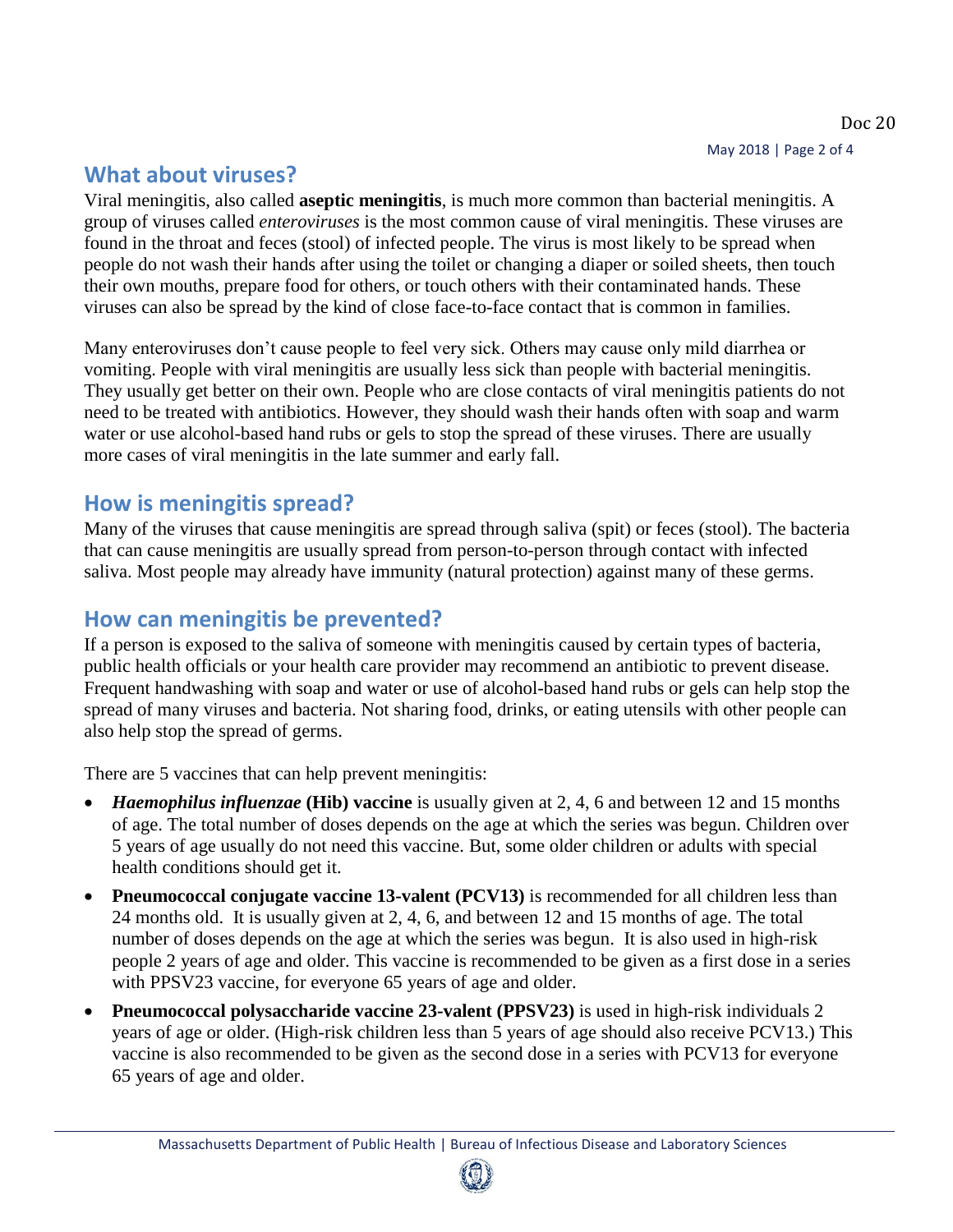## **What about viruses?**

Viral meningitis, also called **aseptic meningitis**, is much more common than bacterial meningitis. A group of viruses called *enteroviruses* is the most common cause of viral meningitis. These viruses are found in the throat and feces (stool) of infected people. The virus is most likely to be spread when people do not wash their hands after using the toilet or changing a diaper or soiled sheets, then touch their own mouths, prepare food for others, or touch others with their contaminated hands. These viruses can also be spread by the kind of close face-to-face contact that is common in families.

Many enteroviruses don't cause people to feel very sick. Others may cause only mild diarrhea or vomiting. People with viral meningitis are usually less sick than people with bacterial meningitis. They usually get better on their own. People who are close contacts of viral meningitis patients do not need to be treated with antibiotics. However, they should wash their hands often with soap and warm water or use alcohol-based hand rubs or gels to stop the spread of these viruses. There are usually more cases of viral meningitis in the late summer and early fall.

#### **How is meningitis spread?**

Many of the viruses that cause meningitis are spread through saliva (spit) or feces (stool). The bacteria that can cause meningitis are usually spread from person-to-person through contact with infected saliva. Most people may already have immunity (natural protection) against many of these germs.

#### **How can meningitis be prevented?**

If a person is exposed to the saliva of someone with meningitis caused by certain types of bacteria, public health officials or your health care provider may recommend an antibiotic to prevent disease. Frequent handwashing with soap and water or use of alcohol-based hand rubs or gels can help stop the spread of many viruses and bacteria. Not sharing food, drinks, or eating utensils with other people can also help stop the spread of germs.

There are 5 vaccines that can help prevent meningitis:

- *Haemophilus influenzae* **(Hib) vaccine** is usually given at 2, 4, 6 and between 12 and 15 months of age. The total number of doses depends on the age at which the series was begun. Children over 5 years of age usually do not need this vaccine. But, some older children or adults with special health conditions should get it.
- **Pneumococcal conjugate vaccine 13-valent (PCV13)** is recommended for all children less than 24 months old. It is usually given at 2, 4, 6, and between 12 and 15 months of age. The total number of doses depends on the age at which the series was begun. It is also used in high-risk people 2 years of age and older. This vaccine is recommended to be given as a first dose in a series with PPSV23 vaccine, for everyone 65 years of age and older.
- **Pneumococcal polysaccharide vaccine 23-valent (PPSV23)** is used in high-risk individuals 2 years of age or older. (High-risk children less than 5 years of age should also receive PCV13.) This vaccine is also recommended to be given as the second dose in a series with PCV13 for everyone 65 years of age and older.

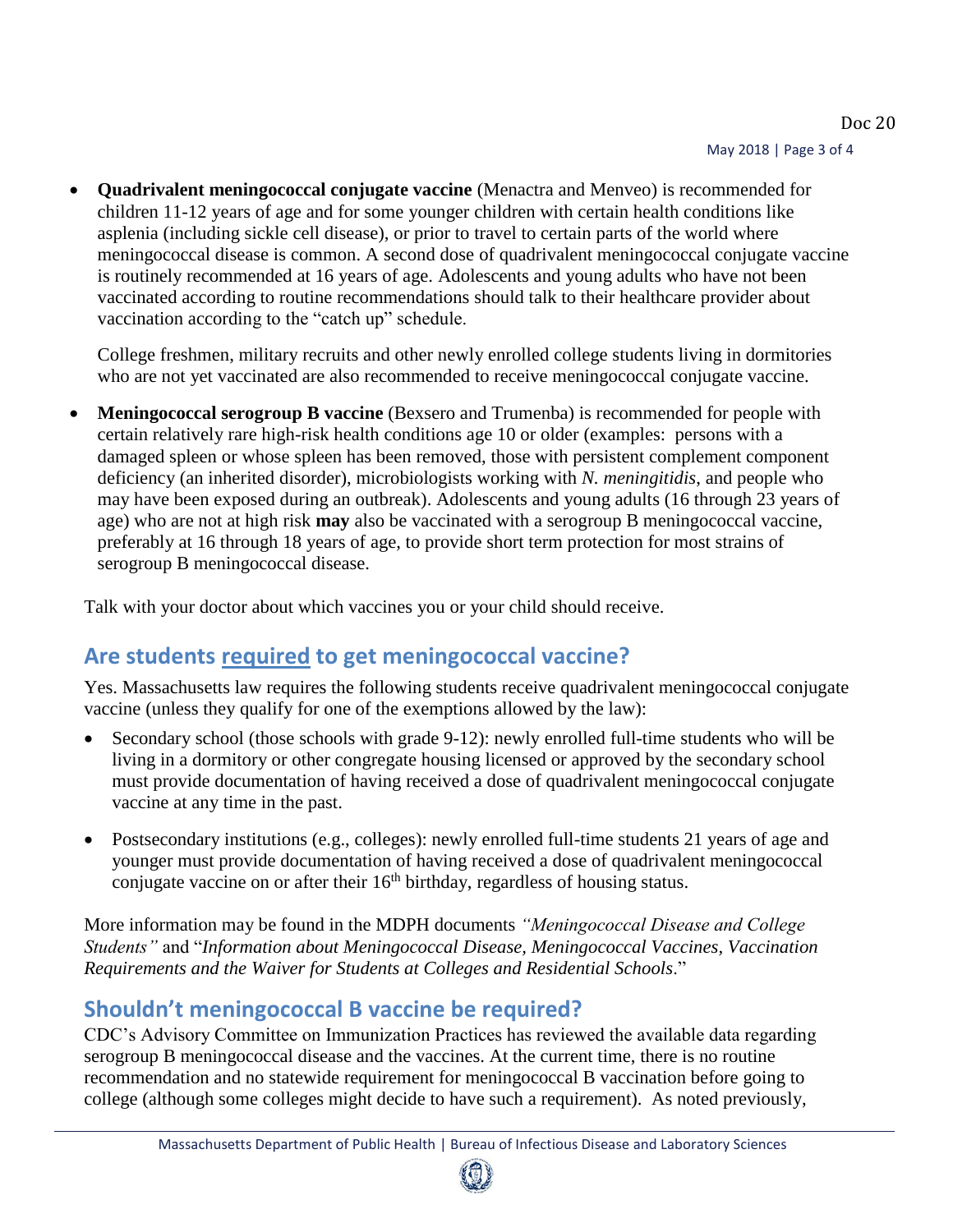**Quadrivalent meningococcal conjugate vaccine** (Menactra and Menveo) is recommended for children 11-12 years of age and for some younger children with certain health conditions like asplenia (including sickle cell disease), or prior to travel to certain parts of the world where meningococcal disease is common. A second dose of quadrivalent meningococcal conjugate vaccine is routinely recommended at 16 years of age. Adolescents and young adults who have not been vaccinated according to routine recommendations should talk to their healthcare provider about vaccination according to the "catch up" schedule.

College freshmen, military recruits and other newly enrolled college students living in dormitories who are not yet vaccinated are also recommended to receive meningococcal conjugate vaccine.

 **Meningococcal serogroup B vaccine** (Bexsero and Trumenba) is recommended for people with certain relatively rare high-risk health conditions age 10 or older (examples: persons with a damaged spleen or whose spleen has been removed, those with persistent complement component deficiency (an inherited disorder), microbiologists working with *N. meningitidis*, and people who may have been exposed during an outbreak). Adolescents and young adults (16 through 23 years of age) who are not at high risk **may** also be vaccinated with a serogroup B meningococcal vaccine, preferably at 16 through 18 years of age, to provide short term protection for most strains of serogroup B meningococcal disease.

Talk with your doctor about which vaccines you or your child should receive.

# **Are students required to get meningococcal vaccine?**

Yes. Massachusetts law requires the following students receive quadrivalent meningococcal conjugate vaccine (unless they qualify for one of the exemptions allowed by the law):

- Secondary school (those schools with grade 9-12): newly enrolled full-time students who will be living in a dormitory or other congregate housing licensed or approved by the secondary school must provide documentation of having received a dose of quadrivalent meningococcal conjugate vaccine at any time in the past.
- Postsecondary institutions (e.g., colleges): newly enrolled full-time students 21 years of age and younger must provide documentation of having received a dose of quadrivalent meningococcal conjugate vaccine on or after their  $16<sup>th</sup>$  birthday, regardless of housing status.

More information may be found in the MDPH documents *"Meningococcal Disease and College Students"* and "*Information about Meningococcal Disease, Meningococcal Vaccines, Vaccination Requirements and the Waiver for Students at Colleges and Residential Schools*."

# **Shouldn't meningococcal B vaccine be required?**

CDC's Advisory Committee on Immunization Practices has reviewed the available data regarding serogroup B meningococcal disease and the vaccines. At the current time, there is no routine recommendation and no statewide requirement for meningococcal B vaccination before going to college (although some colleges might decide to have such a requirement). As noted previously,